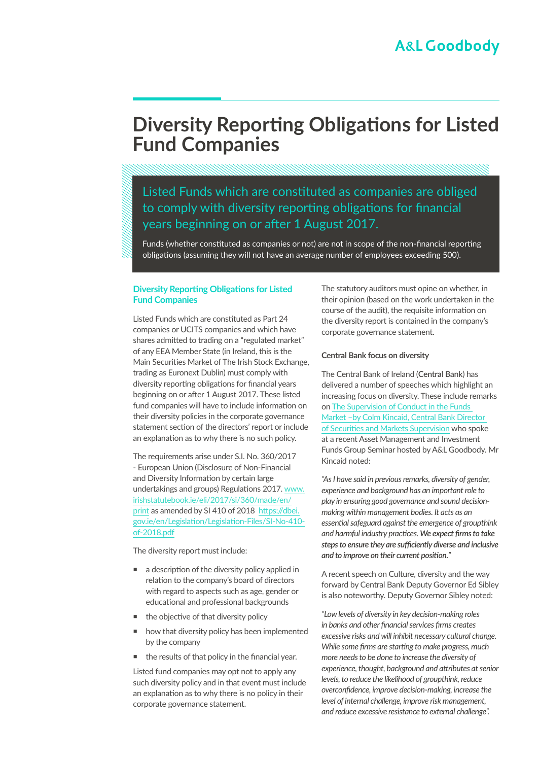# **Diversity Reporting Obligations for Listed Fund Companies**

# Listed Funds which are constituted as companies are obliged to comply with diversity reporting obligations for financial years beginning on or after 1 August 2017.

Funds (whether constituted as companies or not) are not in scope of the non-financial reporting obligations (assuming they will not have an average number of employees exceeding 500).

### **Diversity Reporting Obligations for Listed Fund Companies**

Listed Funds which are constituted as Part 24 companies or UCITS companies and which have shares admitted to trading on a "regulated market" of any EEA Member State (in Ireland, this is the Main Securities Market of The Irish Stock Exchange, trading as Euronext Dublin) must comply with diversity reporting obligations for financial years beginning on or after 1 August 2017. These listed fund companies will have to include information on their diversity policies in the corporate governance statement section of the directors' report or include an explanation as to why there is no such policy.

The requirements arise under S.I. No. 360/2017 - European Union (Disclosure of Non-Financial and Diversity Information by certain large undertakings and groups) Regulations 2017. [www.](http://www.irishstatutebook.ie/eli/2017/si/360/made/en/print) [irishstatutebook.ie/eli/2017/si/360/made/en/](http://www.irishstatutebook.ie/eli/2017/si/360/made/en/print) [print](http://www.irishstatutebook.ie/eli/2017/si/360/made/en/print) as amended by SI 410 of 2018 [https://dbei.](https://dbei.gov.ie/en/Legislation/Legislation-Files/SI-No-410-of-2018.pdf) [gov.ie/en/Legislation/Legislation-Files/SI-No-410](https://dbei.gov.ie/en/Legislation/Legislation-Files/SI-No-410-of-2018.pdf) [of-2018.pdf](https://dbei.gov.ie/en/Legislation/Legislation-Files/SI-No-410-of-2018.pdf)

The diversity report must include:

- $\blacksquare$  a description of the diversity policy applied in relation to the company's board of directors with regard to aspects such as age, gender or educational and professional backgrounds
- the objective of that diversity policy
- **how that diversity policy has been implemented** by the company
- the results of that policy in the financial year.

Listed fund companies may opt not to apply any such diversity policy and in that event must include an explanation as to why there is no policy in their corporate governance statement.

The statutory auditors must opine on whether, in their opinion (based on the work undertaken in the course of the audit), the requisite information on the diversity report is contained in the company's corporate governance statement.

#### **Central Bank focus on diversity**

The Central Bank of Ireland (**Central Bank**) has delivered a number of speeches which highlight an increasing focus on diversity. These include remarks on [The Supervision of Conduct in the Funds](http://www.centralbank.ie/regulation/markets-update/article/Markets-Update-Issue-15-2018/central-bank-of-ireland/the-supervision-of-conduct-in-the-funds-market-remarks-by-colm-kincaid-director-of-securities-and-markets-supervision)  [Market –by Colm Kincaid, Central Bank Director](http://www.centralbank.ie/regulation/markets-update/article/Markets-Update-Issue-15-2018/central-bank-of-ireland/the-supervision-of-conduct-in-the-funds-market-remarks-by-colm-kincaid-director-of-securities-and-markets-supervision)  [of Securities and Markets Supervision](http://www.centralbank.ie/regulation/markets-update/article/Markets-Update-Issue-15-2018/central-bank-of-ireland/the-supervision-of-conduct-in-the-funds-market-remarks-by-colm-kincaid-director-of-securities-and-markets-supervision) who spoke at a recent Asset Management and Investment Funds Group Seminar hosted by A&L Goodbody. Mr Kincaid noted:

*"As I have said in previous remarks, diversity of gender, experience and background has an important role to play in ensuring good governance and sound decisionmaking within management bodies. It acts as an essential safeguard against the emergence of groupthink and harmful industry practices. We expect firms to take steps to ensure they are sufficiently diverse and inclusive and to improve on their current position."*

A recent speech on Culture, diversity and the way forward by Central Bank Deputy Governor Ed Sibley is also noteworthy. Deputy Governor Sibley noted:

*"Low levels of diversity in key decision-making roles in banks and other financial services firms creates excessive risks and will inhibit necessary cultural change. While some firms are starting to make progress, much more needs to be done to increase the diversity of experience, thought, background and attributes at senior levels, to reduce the likelihood of groupthink, reduce overconfidence, improve decision-making, increase the level of internal challenge, improve risk management, and reduce excessive resistance to external challenge".*